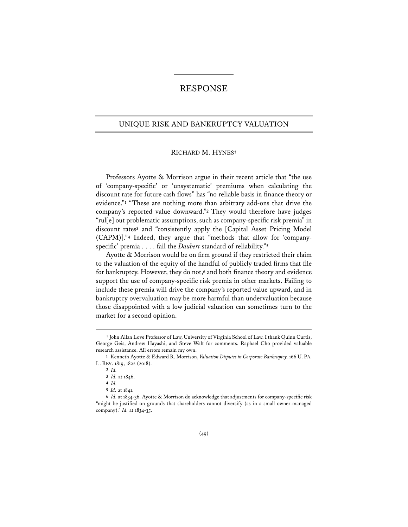# RESPONSE

# UNIQUE RISK AND BANKRUPTCY VALUATION

### RICHARD M. HYNES**†**

Professors Ayotte & Morrison argue in their recent article that "the use of 'company-specific' or 'unsystematic' premiums when calculating the discount rate for future cash flows" has "no reliable basis in finance theory or evidence."**<sup>1</sup>** "These are nothing more than arbitrary add-ons that drive the company's reported value downward."**<sup>2</sup>** They would therefore have judges "rul[e] out problematic assumptions, such as company-specific risk premia" in discount rates**<sup>3</sup>** and "consistently apply the [Capital Asset Pricing Model (CAPM)]."**<sup>4</sup>** Indeed, they argue that "methods that allow for 'companyspecific' premia . . . . fail the *Daubert* standard of reliability."**<sup>5</sup>**

Ayotte & Morrison would be on firm ground if they restricted their claim to the valuation of the equity of the handful of publicly traded firms that file for bankruptcy. However, they do not,**<sup>6</sup>** and both finance theory and evidence support the use of company-specific risk premia in other markets. Failing to include these premia will drive the company's reported value upward, and in bankruptcy overvaluation may be more harmful than undervaluation because those disappointed with a low judicial valuation can sometimes turn to the market for a second opinion.

**<sup>†</sup>** John Allan Love Professor of Law, University of Virginia School of Law. I thank Quinn Curtis, George Geis, Andrew Hayashi, and Steve Walt for comments. Raphael Cho provided valuable research assistance. All errors remain my own.

**<sup>1</sup>** Kenneth Ayotte & Edward R. Morrison, *Valuation Disputes in Corporate Bankruptcy,* 166 U. PA. L. REV. 1819, 1822 (2018).

**<sup>2</sup>** *Id.*

**<sup>3</sup>** *Id.* at 1846.

**<sup>4</sup>** *Id.*

**<sup>5</sup>** *Id.* at 1841.

**<sup>6</sup>** *Id.* at 1834-36. Ayotte & Morrison do acknowledge that adjustments for company-specific risk "might be justified on grounds that shareholders cannot diversify (as in a small owner-managed company)." *Id.* at 1834-35.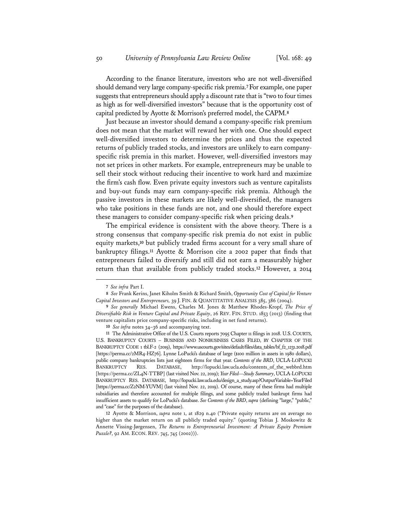According to the finance literature, investors who are not well-diversified should demand very large company-specific risk premia.**7**For example, one paper suggests that entrepreneurs should apply a discount rate that is "two to four times as high as for well-diversified investors" because that is the opportunity cost of capital predicted by Ayotte & Morrison's preferred model, the CAPM.**<sup>8</sup>**

Just because an investor should demand a company-specific risk premium does not mean that the market will reward her with one. One should expect well-diversified investors to determine the prices and thus the expected returns of publicly traded stocks, and investors are unlikely to earn companyspecific risk premia in this market. However, well-diversified investors may not set prices in other markets. For example, entrepreneurs may be unable to sell their stock without reducing their incentive to work hard and maximize the firm's cash flow. Even private equity investors such as venture capitalists and buy-out funds may earn company-specific risk premia. Although the passive investors in these markets are likely well-diversified, the managers who take positions in these funds are not, and one should therefore expect these managers to consider company-specific risk when pricing deals.**<sup>9</sup>**

The empirical evidence is consistent with the above theory. There is a strong consensus that company-specific risk premia do not exist in public equity markets,**<sup>10</sup>** but publicly traded firms account for a very small share of bankruptcy filings.**<sup>11</sup>** Ayotte & Morrison cite a 2002 paper that finds that entrepreneurs failed to diversify and still did not earn a measurably higher return than that available from publicly traded stocks.**<sup>12</sup>** However, a 2014

**<sup>7</sup>** *See infra* Part I.

**<sup>8</sup>** *See* Frank Kerins, Janet Kiholm Smith & Richard Smith, *Opportunity Cost of Capital for Venture Capital Investors and Entrepreneurs,* 39 J. FIN. & QUANTITATIVE ANALYSIS 385, 386 (2004).

**<sup>9</sup>** *See generally* Michael Ewens, Charles M. Jones & Matthew Rhodes-Kropf, *The Price of Diversifiable Risk in Venture Capital and Private Equity*, 26 REV. FIN. STUD. 1853 (2013) (finding that venture capitalists price company-specific risks, including in net fund returns).

**<sup>10</sup>** *See infra* notes 34–36 and accompanying text.

**<sup>11</sup>** The Administrative Office of the U.S. Courts reports 7095 Chapter 11 filings in 2018. U.S.COURTS, U.S. BANKRUPTCY COURTS – BUSINESS AND NONBUSINESS CASES FILED, BY CHAPTER OF THE BANKRUPTCY CODE 1 tbl.F-2 (2019), https://www.uscourts.gov/sites/default/files/data\_tables/bf\_f2\_1231.2018.pdf [https://perma.cc/2MR4-HZ76]. Lynne LoPucki's database of large (\$100 million in assets in 1980 dollars), public company bankruptcies lists just eighteen firms for that year. *Contents of the BRD*, UCLA-LOPUCKI BANKRUPTCY RES. DATABASE, http://lopucki.law.ucla.edu/contents\_of\_the\_webbrd.htm [https://perma.cc/ZL4N-TTBP] (last visited Nov. 22, 2019); *Year Filed—Study Summary*, UCLA-LOPUCKI BANKRUPTCY RES. DATABASE, http://lopucki.law.ucla.edu/design\_a\_study.asp?OutputVariable=YearFiled [https://perma.cc/Z2NM-YUVM] (last visited Nov. 22, 2019). Of course, many of these firms had multiple subsidiaries and therefore accounted for multiple filings, and some publicly traded bankrupt firms had insufficient assets to qualify for LoPucki's database. *See Contents of the BRD*, *supra* (defining "large," "public," and "case" for the purposes of the database).

**<sup>12</sup>** Ayotte & Morrison, *supra* note 1, at 1829 n.40 ("Private equity returns are on average no higher than the market return on all publicly traded equity." (quoting Tobias J. Moskowitz & Annette Vissing-Jørgensen, *The Returns to Entrepreneurial Investment: A Private Equity Premium Puzzle?*, 92 AM. ECON. REV. 745, 745 (2002))).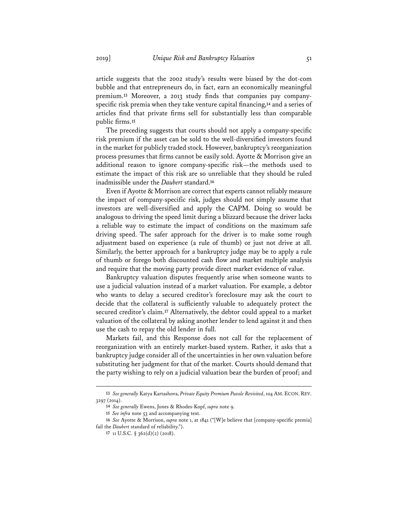article suggests that the 2002 study's results were biased by the dot-com bubble and that entrepreneurs do, in fact, earn an economically meaningful premium.**<sup>13</sup>** Moreover, a 2013 study finds that companies pay companyspecific risk premia when they take venture capital financing,**<sup>14</sup>** and a series of articles find that private firms sell for substantially less than comparable public firms.**<sup>15</sup>**

The preceding suggests that courts should not apply a company-specific risk premium if the asset can be sold to the well-diversified investors found in the market for publicly traded stock. However, bankruptcy's reorganization process presumes that firms cannot be easily sold. Ayotte & Morrison give an additional reason to ignore company-specific risk—the methods used to estimate the impact of this risk are so unreliable that they should be ruled inadmissible under the *Daubert* standard.**<sup>16</sup>**

Even if Ayotte & Morrison are correct that experts cannot reliably measure the impact of company-specific risk, judges should not simply assume that investors are well-diversified and apply the CAPM. Doing so would be analogous to driving the speed limit during a blizzard because the driver lacks a reliable way to estimate the impact of conditions on the maximum safe driving speed. The safer approach for the driver is to make some rough adjustment based on experience (a rule of thumb) or just not drive at all. Similarly, the better approach for a bankruptcy judge may be to apply a rule of thumb or forego both discounted cash flow and market multiple analysis and require that the moving party provide direct market evidence of value.

Bankruptcy valuation disputes frequently arise when someone wants to use a judicial valuation instead of a market valuation. For example, a debtor who wants to delay a secured creditor's foreclosure may ask the court to decide that the collateral is sufficiently valuable to adequately protect the secured creditor's claim.**<sup>17</sup>** Alternatively, the debtor could appeal to a market valuation of the collateral by asking another lender to lend against it and then use the cash to repay the old lender in full.

Markets fail, and this Response does not call for the replacement of reorganization with an entirely market-based system. Rather, it asks that a bankruptcy judge consider all of the uncertainties in her own valuation before substituting her judgment for that of the market. Courts should demand that the party wishing to rely on a judicial valuation bear the burden of proof; and

**<sup>13</sup>** *See generally* Katya Kartashova, *Private Equity Premium Puzzle Revisited*, 104 AM. ECON. REV. 3297 (2014).

**<sup>14</sup>** *See generally* Ewens, Jones & Rhodes-Kopf, *supra* note 9.

**<sup>15</sup>** *See infra* note 53 and accompanying text.

**<sup>16</sup>** *See* Ayotte & Morrison, *supra* note 1, at 1841 ("[W]e believe that [company-specific premia] fail the *Daubert* standard of reliability.").

**<sup>17</sup>** 11 U.S.C. § 362(d)(2) (2018).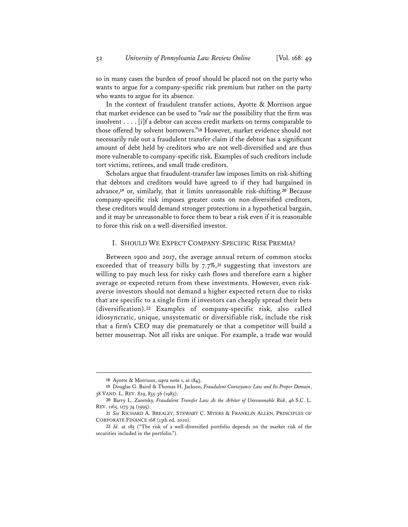so in many cases the burden of proof should be placed not on the party who wants to argue for a company-specific risk premium but rather on the party who wants to argue for its absence.

In the context of fraudulent transfer actions, Ayotte & Morrison argue that market evidence can be used to "*rule out* the possibility that the firm was insolvent . . . . [i]f a debtor can access credit markets on terms comparable to those offered by solvent borrowers."**<sup>18</sup>** However, market evidence should not necessarily rule out a fraudulent transfer claim if the debtor has a significant amount of debt held by creditors who are not well-diversified and are thus more vulnerable to company-specific risk. Examples of such creditors include tort victims, retirees, and small trade creditors.

Scholars argue that fraudulent-transfer law imposes limits on risk-shifting that debtors and creditors would have agreed to if they had bargained in advance,**<sup>19</sup>** or, similarly, that it limits unreasonable risk-shifting.**<sup>20</sup>** Because company-specific risk imposes greater costs on non-diversified creditors, these creditors would demand stronger protections in a hypothetical bargain, and it may be unreasonable to force them to bear a risk even if it is reasonable to force this risk on a well-diversified investor.

## I. SHOULD WE EXPECT COMPANY-SPECIFIC RISK PREMIA?

Between 1900 and 2017, the average annual return of common stocks exceeded that of treasury bills by 7.7%,**<sup>21</sup>** suggesting that investors are willing to pay much less for risky cash flows and therefore earn a higher average or expected return from these investments. However, even riskaverse investors should not demand a higher expected return due to risks that are specific to a single firm if investors can cheaply spread their bets (diversification).**<sup>22</sup>** Examples of company-specific risk, also called idiosyncratic, unique, unsystematic or diversifiable risk, include the risk that a firm's CEO may die prematurely or that a competitor will build a better mousetrap. Not all risks are unique. For example, a trade war would

**<sup>18</sup>** Ayotte & Morrison, *supra* note 1, at 1843.

**<sup>19</sup>** Douglas G. Baird & Thomas H. Jackson, *Fraudulent Conveyance Law and Its Proper Domain*, 38 VAND. L. REV. 829, 835-36 (1985).

**<sup>20</sup>** Barry L. Zaretsky, *Fraudulent Transfer Law As the Arbiter of Unreasonable Risk*, 46 S.C. L. REV. 1165, 1173-74 (1995).

**<sup>21</sup>** *See* RICHARD A. BREALEY, STEWART C. MYERS & FRANKLIN ALLEN, PRINCIPLES OF CORPORATE FINANCE 168 (13th ed. 2020).

**<sup>22</sup>** *Id.* at 185 ("The risk of a well-diversified portfolio depends on the market risk of the securities included in the portfolio.").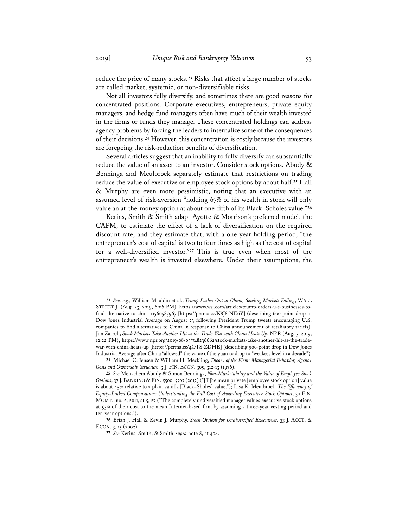reduce the price of many stocks.**<sup>23</sup>** Risks that affect a large number of stocks are called market, systemic, or non-diversifiable risks.

Not all investors fully diversify, and sometimes there are good reasons for concentrated positions. Corporate executives, entrepreneurs, private equity managers, and hedge fund managers often have much of their wealth invested in the firms or funds they manage. These concentrated holdings can address agency problems by forcing the leaders to internalize some of the consequences of their decisions.**<sup>24</sup>** However, this concentration is costly because the investors are foregoing the risk-reduction benefits of diversification.

Several articles suggest that an inability to fully diversify can substantially reduce the value of an asset to an investor. Consider stock options. Abudy & Benninga and Meulbroek separately estimate that restrictions on trading reduce the value of executive or employee stock options by about half.**<sup>25</sup>** Hall & Murphy are even more pessimistic, noting that an executive with an assumed level of risk-aversion "holding 67% of his wealth in stock will only value an at-the-money option at about one-fifth of its Black–Scholes value."**<sup>26</sup>**

Kerins, Smith & Smith adapt Ayotte & Morrison's preferred model, the CAPM, to estimate the effect of a lack of diversification on the required discount rate, and they estimate that, with a one-year holding period, "the entrepreneur's cost of capital is two to four times as high as the cost of capital for a well-diversified investor."**<sup>27</sup>** This is true even when most of the entrepreneur's wealth is invested elsewhere. Under their assumptions, the

**<sup>23</sup>** *See, e.g.*, William Mauldin et al., *Trump Lashes Out at China, Sending Markets Falling*, WALL STREET J. (Aug. 23, 2019, 6:06 PM), https://www.wsj.com/articles/trump-orders-u-s-businesses-tofind-alternative-to-china-11566585967 [https://perma.cc/K8J8-NE6Y] (describing 600-point drop in Dow Jones Industrial Average on August 23 following President Trump tweets encouraging U.S. companies to find alternatives to China in response to China announcement of retaliatory tariffs); Jim Zarroli, *Stock Markets Take Another Hit as the Trade War with China Heats Up*, NPR (Aug. 5, 2019, 12:22 PM), https://www.npr.org/2019/08/05/748236662/stock-markets-take-another-hit-as-the-tradewar-with-china-heats-up [https://perma.cc/4QTS-ZDHE] (describing 900-point drop in Dow Jones Industrial Average after China "allowed" the value of the yuan to drop to "weakest level in a decade").

**<sup>24</sup>** Michael C. Jensen & William H. Meckling, *Theory of the Firm: Managerial Behavior, Agency Costs and Ownership Structure*, 3 J. FIN. ECON. 305, 312-13 (1976).

**<sup>25</sup>** *See* Menachem Abudy & Simon Benninga, *Non-Marketability and the Value of Employee Stock Options*, 37 J. BANKING & FIN. 5500, 5507 (2013) ("[T]he mean private [employee stock option] value is about 45% relative to a plain vanilla [Black–Sholes] value."); Lisa K. Meulbroek, *The Efficiency of Equity-Linked Compensation: Understanding the Full Cost of Awarding Executive Stock Options*, 30 FIN. MGMT., no. 2, 2011, at 5, 27 ("The completely undiversified manager values executive stock options at 53% of their cost to the mean Internet-based firm by assuming a three-year vesting period and ten-year options.").

**<sup>26</sup>** Brian J. Hall & Kevin J. Murphy, *Stock Options for Undiversified Executives,* 33 J. ACCT. & ECON. 3, 15 (2002).

**<sup>27</sup>** *See* Kerins, Smith, & Smith, *supra* note 8, at 404.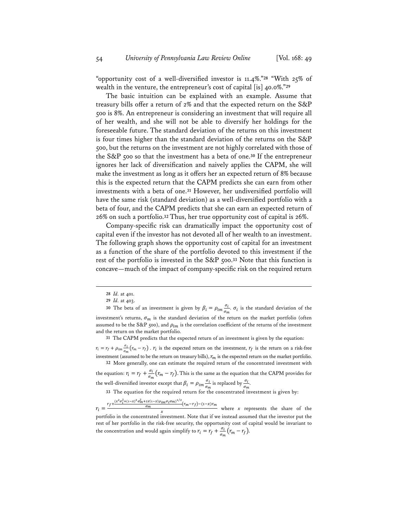"opportunity cost of a well-diversified investor is 11.4%."**<sup>28</sup>** "With 25% of wealth in the venture, the entrepreneur's cost of capital [is] 40.0%."**<sup>29</sup>**

The basic intuition can be explained with an example. Assume that treasury bills offer a return of 2% and that the expected return on the S&P 500 is 8%. An entrepreneur is considering an investment that will require all of her wealth, and she will not be able to diversify her holdings for the foreseeable future. The standard deviation of the returns on this investment is four times higher than the standard deviation of the returns on the S&P 500, but the returns on the investment are not highly correlated with those of the S&P 500 so that the investment has a beta of one.**<sup>30</sup>** If the entrepreneur ignores her lack of diversification and naively applies the CAPM, she will make the investment as long as it offers her an expected return of 8% because this is the expected return that the CAPM predicts she can earn from other investments with a beta of one.**<sup>31</sup>** However, her undiversified portfolio will have the same risk (standard deviation) as a well-diversified portfolio with a beta of four, and the CAPM predicts that she can earn an expected return of 26% on such a portfolio.**<sup>32</sup>** Thus, her true opportunity cost of capital is 26%.

Company-specific risk can dramatically impact the opportunity cost of capital even if the investor has not devoted all of her wealth to an investment. The following graph shows the opportunity cost of capital for an investment as a function of the share of the portfolio devoted to this investment if the rest of the portfolio is invested in the S&P 500.**<sup>33</sup>** Note that this function is concave—much of the impact of company-specific risk on the required return

 $r_i = r_f + \rho_{im} \frac{\sigma_i}{\sigma}$  $\frac{\sigma_i}{\sigma_m}$  ( $r_m - r_f$ ).  $r_i$  is the expected return on the investment,  $r_f$  is the return on a risk-free investment (assumed to be the return on treasury bills),  $r_m$  is the expected return on the market portfolio. **32** More generally, one can estimate the required return of the concentrated investment with

the equation:  $r_i = r_f + \frac{\sigma_i}{\sigma_m}(r_m - r_f)$ . This is the same as the equation that the CAPM provides for the well-diversified investor except that  $\beta_i = \rho_{im} \frac{\sigma_i}{\sigma_i}$  $\frac{\sigma_i}{\sigma_m}$  is replaced by  $\frac{\sigma_i}{\sigma_m}$ .

**33** The equation for the required return for the concentrated investment is given by:

 $r_i = \frac{r_f + \frac{(x^2 \sigma_i^2 + (1-x)^2 \sigma_m^2 + 2x(1-x) \rho_{im} \sigma_i \sigma_m)^{1/2}}{\sigma_m (r_m - r_f) - (1-x) r_m}}{x}$  where *x* represents the share of the portfolio in the concentrated investment. Note that if we instead assumed that the investor put the rest of her portfolio in the risk-free security, the opportunity cost of capital would be invariant to the concentration and would again simplify to  $r_i = r_f + \frac{\sigma_i}{\sigma_m} (r_m - r_f)$ .

**<sup>28</sup>** *Id.* at 401.

**<sup>29</sup>** *Id.* at 403.

<sup>30</sup> The beta of an investment is given by  $\beta_i = \rho_{im} \frac{\sigma_i}{\sigma_i}$  $\frac{\partial i}{\partial m}$ .  $\sigma_i$  is the standard deviation of the investment's returns,  $\sigma_m$  is the standard deviation of the return on the market portfolio (often assumed to be the S&P 500), and  $\rho_{im}$  is the correlation coefficient of the returns of the investment and the return on the market portfolio.

**<sup>31</sup>** The CAPM predicts that the expected return of an investment is given by the equation: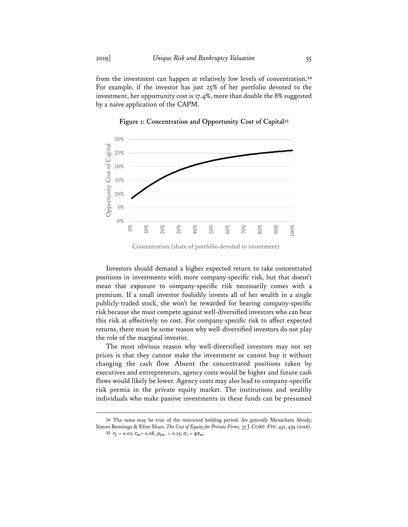from the investment can happen at relatively low levels of concentration.**<sup>34</sup>** For example, if the investor has just 25% of her portfolio devoted to the investment, her opportunity cost is 17.4%, more than double the 8% suggested by a naive application of the CAPM.



**Figure 1: Concentration and Opportunity Cost of Capital35**

Investors should demand a higher expected return to take concentrated positions in investments with more company-specific risk, but that doesn't mean that exposure to company-specific risk necessarily comes with a premium. If a small investor foolishly invests all of her wealth in a single publicly-traded stock, she won't be rewarded for bearing company-specific risk because she must compete against well-diversified investors who can bear this risk at effectively no cost. For company-specific risk to affect expected returns, there must be some reason why well-diversified investors do not play the role of the marginal investor.

The most obvious reason why well-diversified investors may not set prices is that they cannot make the investment or cannot buy it without changing the cash flow. Absent the concentrated positions taken by executives and entrepreneurs, agency costs would be higher and future cash flows would likely be lower. Agency costs may also lead to company-specific risk premia in the private equity market. The institutions and wealthy individuals who make passive investments in these funds can be presumed

**34** The same may be true of the restricted holding period. *See generally* Menachem Abudy, Simon Benninga & Efrat Shust, *The Cost of Equity for Private Firms,* 37 J. CORP. FIN. 431, 439 (2016).

Concentration (share of portfolio devoted to investment)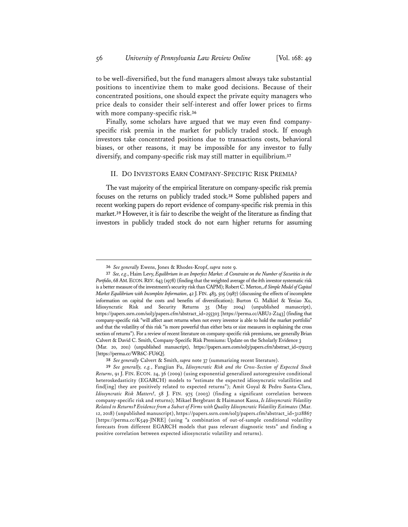to be well-diversified, but the fund managers almost always take substantial positions to incentivize them to make good decisions. Because of their concentrated positions, one should expect the private equity managers who price deals to consider their self-interest and offer lower prices to firms with more company-specific risk.**<sup>36</sup>**

Finally, some scholars have argued that we may even find companyspecific risk premia in the market for publicly traded stock. If enough investors take concentrated positions due to transactions costs, behavioral biases, or other reasons, it may be impossible for any investor to fully diversify, and company-specific risk may still matter in equilibrium.**<sup>37</sup>**

#### II. DO INVESTORS EARN COMPANY-SPECIFIC RISK PREMIA?

The vast majority of the empirical literature on company-specific risk premia focuses on the returns on publicly traded stock.**<sup>38</sup>** Some published papers and recent working papers do report evidence of company-specific risk premia in this market.**<sup>39</sup>** However, it is fair to describe the weight of the literature as finding that investors in publicly traded stock do not earn higher returns for assuming

**<sup>36</sup>** *See generally* Ewens, Jones & Rhodes-Kropf, *supra* note 9.

**<sup>37</sup>** *See, e.g*., Haim Levy, *Equilibrium in an Imperfect Market: A Constraint on the Number of Securities in the Portfolio*, 68 AM.ECON.REV. 643 (1978) (finding that the weighted average of the *k*th investor systematic risk is a better measure of the investment's security risk than CAPM); Robert C. Merton, *A Simple Model of Capital Market Equilibrium with Incomplete Information*, 42 J.FIN. 483, 505 (1987) (discussing the effects of incomplete information on capital the costs and benefits of diversification); Burton G. Malkiel & Yexiao Xu, Idiosyncratic Risk and Security Returns 35 (May 2004) (unpublished manuscript), https://papers.ssrn.com/sol3/papers.cfm?abstract\_id=255303 [https://perma.cc/ABU2-Z243] (finding that company-specific risk "will affect asset returns when not every investor is able to hold the market portfolio" and that the volatility of this risk "is more powerful than either beta or size measures in explaining the cross section of returns"). For a review of recent literature on company-specific risk premiums, see generally Brian Calvert & David C. Smith, Company-Specific Risk Premiums: Update on the Scholarly Evidence 3 (Mar. 20, 2011) (unpublished manuscript), https://papers.ssrn.com/sol3/papers.cfm?abstract\_id=1791213 [https://perma.cc/WR6C-FU6Q].

**<sup>38</sup>** *See generally* Calvert & Smith, *supra* note 37 (summarizing recent literature).

**<sup>39</sup>** *See generally, e.g.*, Fangjian Fu, *Idiosyncratic Risk and the Cross-Section of Expected Stock Returns*, 91 J. FIN. ECON. 24, 36 (2009) (using exponential generalized autoregressive conditional heteroskedasticity (EGARCH) models to "estimate the expected idiosyncratic volatilities and find[ing] they are positively related to expected returns"); Amit Goyal & Pedro Santa-Clara, *Idiosyncratic Risk Matters!*, 58 J. FIN. 975 (2003) (finding a significant correlation between company-specific risk and returns); Mikael Bergbrant & Haimanot Kassa, *Is Idiosyncratic Volatility Related to Returns? Evidence from a Subset of Firms with Quality Idiosyncratic Volatility Estimates* (Mar. 12, 2018) (unpublished manuscript), https://papers.ssrn.com/sol3/papers.cfm?abstract\_id=3128867 [https://perma.cc/K549-JNRE] (using "a combination of out-of-sample conditional volatility forecasts from different EGARCH models that pass relevant diagnostic tests" and finding a positive correlation between expected idiosyncratic volatility and returns).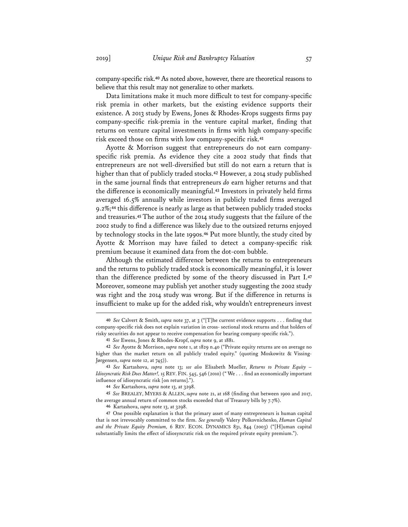company-specific risk.**<sup>40</sup>** As noted above, however, there are theoretical reasons to believe that this result may not generalize to other markets.

Data limitations make it much more difficult to test for company-specific risk premia in other markets, but the existing evidence supports their existence. A 2013 study by Ewens, Jones & Rhodes-Krops suggests firms pay company-specific risk-premia in the venture capital market, finding that returns on venture capital investments in firms with high company-specific risk exceed those on firms with low company-specific risk.**<sup>41</sup>**

Ayotte & Morrison suggest that entrepreneurs do not earn companyspecific risk premia. As evidence they cite a 2002 study that finds that entrepreneurs are not well-diversified but still do not earn a return that is higher than that of publicly traded stocks.**<sup>42</sup>** However, a 2014 study published in the same journal finds that entrepreneurs *do* earn higher returns and that the difference is economically meaningful.**<sup>43</sup>** Investors in privately held firms averaged 16.5% annually while investors in publicly traded firms averaged 9.2%;**<sup>44</sup>** this difference is nearly as large as that between publicly traded stocks and treasuries.**<sup>45</sup>** The author of the 2014 study suggests that the failure of the 2002 study to find a difference was likely due to the outsized returns enjoyed by technology stocks in the late 1990s.**<sup>46</sup>** Put more bluntly, the study cited by Ayotte & Morrison may have failed to detect a company-specific risk premium because it examined data from the dot-com bubble.

Although the estimated difference between the returns to entrepreneurs and the returns to publicly traded stock is economically meaningful, it is lower than the difference predicted by some of the theory discussed in Part I.**<sup>47</sup>** Moreover, someone may publish yet another study suggesting the 2002 study was right and the 2014 study was wrong. But if the difference in returns is insufficient to make up for the added risk, why wouldn't entrepreneurs invest

**<sup>40</sup>** *See* Calvert & Smith, *supra* note 37, at 3 ("[T]he current evidence supports . . . finding that company-specific risk does not explain variation in cross- sectional stock returns and that holders of risky securities do not appear to receive compensation for bearing company-specific risk.").

**<sup>41</sup>** *See* Ewens, Jones & Rhodes-Kropf, *supra* note 9, at 1881.

**<sup>42</sup>** *See* Ayotte & Morrison, *supra* note 1, at 1829 n.40 ("Private equity returns are on average no higher than the market return on all publicly traded equity." (quoting Moskowitz & Vissing-Jørgensen, *supra* note 12, at 745)).

**<sup>43</sup>** *See* Kartashova, *supra* note 13; *see also* Elisabeth Mueller, *Returns to Private Equity – Idiosyncratic Risk Does Matter!,* 15 REV. FIN. 545, 546 (2010) (" We . . . find an economically important influence of idiosyncratic risk [on returns].").

**<sup>44</sup>** *See* Kartashova, *supra* note 13, at 3298.

**<sup>45</sup>** *See* BREALEY, MYERS & ALLEN, *supra* note 21, at 168 (finding that between 1900 and 2017, the average annual return of common stocks exceeded that of Treasury bills by 7.7%).

**<sup>46</sup>** Kartashova, *supra* note 13, at 3298.

**<sup>47</sup>** One possible explanation is that the primary asset of many entrepreneurs is human capital that is not irrevocably committed to the firm. *See generally* Valery Polkovnichenko, *Human Capital and the Private Equity Premium,* 6 REV. ECON. DYNAMICS 831, 844 (2003) ("[H]uman capital substantially limits the effect of idiosyncratic risk on the required private equity premium.").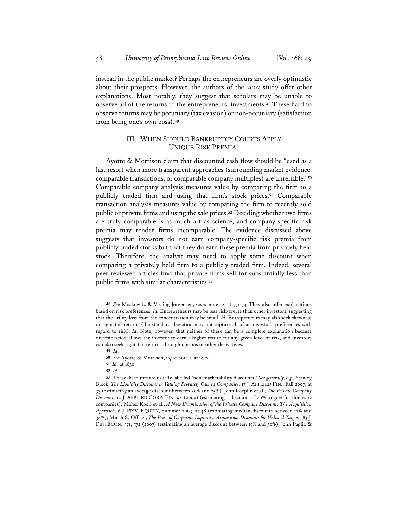instead in the public market? Perhaps the entrepreneurs are overly optimistic about their prospects. However, the authors of the 2002 study offer other explanations. Most notably, they suggest that scholars may be unable to observe all of the returns to the entrepreneurs' investments.**<sup>48</sup>** These hard to observe returns may be pecuniary (tax evasion) or non-pecuniary (satisfaction from being one's own boss).**<sup>49</sup>**

## III. WHEN SHOULD BANKRUPTCY COURTS APPLY UNIQUE RISK PREMIA?

Ayotte & Morrison claim that discounted cash flow should be "used as a last resort when more transparent approaches (surrounding market evidence, comparable transactions, or comparable company multiples) are unreliable."**<sup>50</sup>** Comparable company analysis measures value by comparing the firm to a publicly traded firm and using that firm's stock prices.**<sup>51</sup>** Comparable transaction analysis measures value by comparing the firm to recently sold public or private firms and using the sale prices.**<sup>52</sup>** Deciding whether two firms are truly comparable is as much art as science, and company-specific risk premia may render firms incomparable. The evidence discussed above suggests that investors do not earn company-specific risk premia from publicly traded stocks but that they do earn these premia from privately held stock. Therefore, the analyst may need to apply some discount when comparing a privately held firm to a publicly traded firm. Indeed, several peer-reviewed articles find that private firms sell for substantially less than public firms with similar characteristics.**<sup>53</sup>**

**<sup>48</sup>** *See* Moskowitz & Vissing-Jørgensen, *supra* note 12, at 771-73. They also offer explanations based on risk preferences. *Id.* Entrepreneurs may be less risk-averse than other investors, suggesting that the utility loss from the concentration may be small. *Id.* Entrepreneurs may also seek skewness or right-tail returns (the standard deviation may not capture all of an investor's preferences with regard to risk). *Id.* Note, however, that neither of these can be a complete explanation because diversification allows the investor to earn a higher return for any given level of risk, and investors can also seek right-tail returns through options or other derivatives.

**<sup>49</sup>** *Id.*

**<sup>50</sup>** *See* Ayotte & Morrison, *supra* note 1, at 1822.

**<sup>51</sup>** *Id.* at 1830.

**<sup>52</sup>** *Id.*

**<sup>53</sup>** These discounts are usually labelled "non-marketability discounts." *See generally, e.g.*, Stanley Block, *The Liquidity Discount in Valuing Privately Owned Companies,* 17 J. APPLIED FIN., Fall 2007, at 33 (estimating an average discount between 20% and 25%); John Koeplin et al., *The Private Company Discount,* 12 J. APPLIED CORP. FIN. 94 (2000) (estimating a discount of 20% to 30% for domestic companies); Maher Kooli et al., *A New Examination of the Private Company Discount: The Acquisition Approach,* 6 J. PRIV. EQUITY, Summer 2003, at 48 (estimating median discounts between 17% and 34%); Micah S. Officer, *The Price of Corporate Liquidity: Acquisition Discounts for Unlisted Targets,* 83 J. FIN. ECON. 571, 572 (2007) (estimating an average discount between 15% and 30%); John Paglia &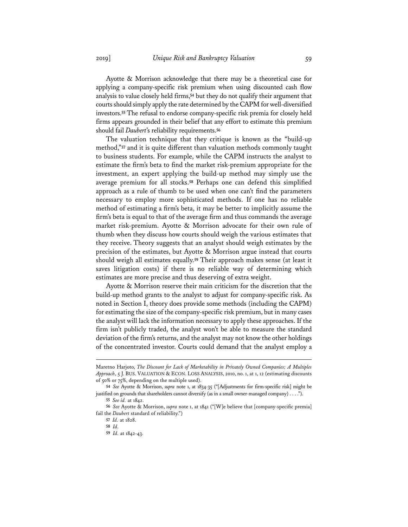Ayotte & Morrison acknowledge that there may be a theoretical case for applying a company-specific risk premium when using discounted cash flow analysis to value closely held firms,**<sup>54</sup>** but they do not qualify their argument that courts should simply apply the rate determined by the CAPM for well-diversified investors.**<sup>55</sup>** The refusal to endorse company-specific risk premia for closely held firms appears grounded in their belief that any effort to estimate this premium should fail *Daubert*'s reliability requirements.**<sup>56</sup>**

The valuation technique that they critique is known as the "build-up method,"**<sup>57</sup>** and it is quite different than valuation methods commonly taught to business students. For example, while the CAPM instructs the analyst to estimate the firm's beta to find the market risk-premium appropriate for the investment, an expert applying the build-up method may simply use the average premium for all stocks.**<sup>58</sup>** Perhaps one can defend this simplified approach as a rule of thumb to be used when one can't find the parameters necessary to employ more sophisticated methods. If one has no reliable method of estimating a firm's beta, it may be better to implicitly assume the firm's beta is equal to that of the average firm and thus commands the average market risk-premium. Ayotte & Morrison advocate for their own rule of thumb when they discuss how courts should weigh the various estimates that they receive. Theory suggests that an analyst should weigh estimates by the precision of the estimates, but Ayotte & Morrison argue instead that courts should weigh all estimates equally.**<sup>59</sup>** Their approach makes sense (at least it saves litigation costs) if there is no reliable way of determining which estimates are more precise and thus deserving of extra weight.

Ayotte & Morrison reserve their main criticism for the discretion that the build-up method grants to the analyst to adjust for company-specific risk. As noted in Section I, theory does provide some methods (including the CAPM) for estimating the size of the company-specific risk premium, but in many cases the analyst will lack the information necessary to apply these approaches. If the firm isn't publicly traded, the analyst won't be able to measure the standard deviation of the firm's returns, and the analyst may not know the other holdings of the concentrated investor. Courts could demand that the analyst employ a

Maretno Harjoto, *The Discount for Lack of Marketability in Privately Owned Companies; A Multiples Approach*, 5 J. BUS. VALUATION & ECON. LOSS ANALYSIS, 2010, no. 1, at 1, 12 (estimating discounts of 50% or 75%, depending on the multiple used).

**<sup>54</sup>** *See* Ayotte & Morrison, *supra* note 1, at 1834-35 ("[Adjustments for firm-specific risk] might be justified on grounds that shareholders cannot diversify (as in a small owner-managed company) . . . .").

**<sup>55</sup>** *See id.* at 1842.

**<sup>56</sup>** *See* Ayotte & Morrison, *supra* note 1, at 1841 ("[W]e believe that [company-specific premia] fail the *Daubert* standard of reliability.")

**<sup>57</sup>** *Id.* at 1828.

**<sup>58</sup>** *Id*.

**<sup>59</sup>** *Id.* at 1842-43.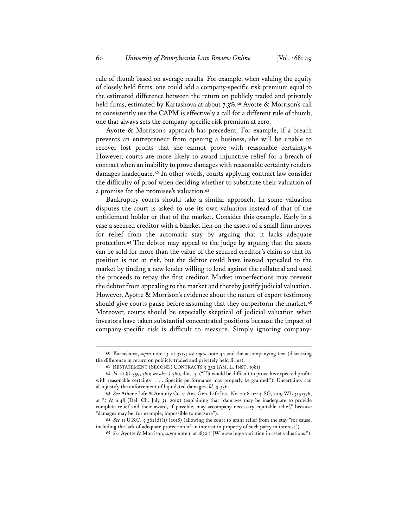rule of thumb based on average results. For example, when valuing the equity of closely held firms, one could add a company-specific risk premium equal to the estimated difference between the return on publicly traded and privately held firms, estimated by Kartashova at about 7.3%.**<sup>60</sup>** Ayotte & Morrison's call to consistently use the CAPM is effectively a call for a different rule of thumb, one that always sets the company-specific risk premium at zero.

Ayotte & Morrison's approach has precedent. For example, if a breach prevents an entrepreneur from opening a business, she will be unable to recover lost profits that she cannot prove with reasonable certainty.**<sup>61</sup>** However, courts are more likely to award injunctive relief for a breach of contract when an inability to prove damages with reasonable certainty renders damages inadequate.**<sup>62</sup>** In other words, courts applying contract law consider the difficulty of proof when deciding whether to substitute their valuation of a promise for the promisee's valuation.**<sup>63</sup>**

Bankruptcy courts should take a similar approach. In some valuation disputes the court is asked to use its own valuation instead of that of the entitlement holder or that of the market. Consider this example. Early in a case a secured creditor with a blanket lien on the assets of a small firm moves for relief from the automatic stay by arguing that it lacks adequate protection.**<sup>64</sup>** The debtor may appeal to the judge by arguing that the assets can be sold for more than the value of the secured creditor's claim so that its position is not at risk, but the debtor could have instead appealed to the market by finding a new lender willing to lend against the collateral and used the proceeds to repay the first creditor. Market imperfections may prevent the debtor from appealing to the market and thereby justify judicial valuation. However, Ayotte & Morrison's evidence about the nature of expert testimony should give courts pause before assuming that they outperform the market.**<sup>65</sup>** Moreover, courts should be especially skeptical of judicial valuation when investors have taken substantial concentrated positions because the impact of company-specific risk is difficult to measure. Simply ignoring company-

**<sup>60</sup>** Kartashova, *supra* note 13, at 3313; *see supra* note 44 and the accompanying text (discussing the difference in return on publicly traded and privately held firms).

**<sup>61</sup>** RESTATEMENT (SECOND) CONTRACTS § 352 (AM. L. INST. 1981).

**<sup>62</sup>** *Id.* at §§ 359, 360; *see also* § 360, illus. 3. ("[I]t would be difficult to prove his expected profits with reasonable certainty . . . . Specific performance may properly be granted."). Uncertainty can also justify the enforcement of liquidated damages. *Id.* § 356.

**<sup>63</sup>** *See* Athene Life & Annuity Co. v. Am. Gen. Life Ins., No. 2018-0244-SG, 2019 WL 3451376, at \*5 & n.48 (Del. Ch. July 31, 2019) (explaining that "damages may be inadequate to provide complete relief and their award, if possible, may accompany necessary equitable relief," because "damages may be, for example, impossible to measure").

**<sup>64</sup>** *See* 11 U.S.C. § 362(d)(1) (2018) (allowing the court to grant relief from the stay "for cause, including the lack of adequate protection of an interest in property of such party in interest").

**<sup>65</sup>** *See* Ayotte & Morrison, *supra* note 1, at 1832 ("[W]e see huge variation in asset valuations.").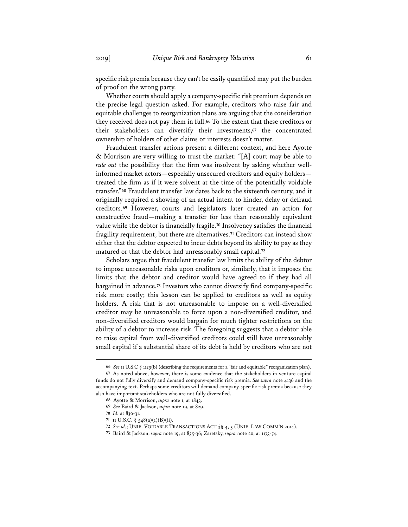specific risk premia because they can't be easily quantified may put the burden of proof on the wrong party.

Whether courts should apply a company-specific risk premium depends on the precise legal question asked. For example, creditors who raise fair and equitable challenges to reorganization plans are arguing that the consideration they received does not pay them in full.**<sup>66</sup>** To the extent that these creditors or their stakeholders can diversify their investments,**<sup>67</sup>** the concentrated ownership of holders of other claims or interests doesn't matter.

Fraudulent transfer actions present a different context, and here Ayotte & Morrison are very willing to trust the market: "[A] court may be able to *rule out* the possibility that the firm was insolvent by asking whether wellinformed market actors—especially unsecured creditors and equity holders treated the firm as if it were solvent at the time of the potentially voidable transfer."**<sup>68</sup>** Fraudulent transfer law dates back to the sixteenth century, and it originally required a showing of an actual intent to hinder, delay or defraud creditors.**<sup>69</sup>** However, courts and legislators later created an action for constructive fraud—making a transfer for less than reasonably equivalent value while the debtor is financially fragile.**<sup>70</sup>** Insolvency satisfies the financial fragility requirement, but there are alternatives.**<sup>71</sup>** Creditors can instead show either that the debtor expected to incur debts beyond its ability to pay as they matured or that the debtor had unreasonably small capital.**<sup>72</sup>**

Scholars argue that fraudulent transfer law limits the ability of the debtor to impose unreasonable risks upon creditors or, similarly, that it imposes the limits that the debtor and creditor would have agreed to if they had all bargained in advance.**<sup>73</sup>** Investors who cannot diversify find company-specific risk more costly; this lesson can be applied to creditors as well as equity holders. A risk that is not unreasonable to impose on a well-diversified creditor may be unreasonable to force upon a non-diversified creditor, and non-diversified creditors would bargain for much tighter restrictions on the ability of a debtor to increase risk. The foregoing suggests that a debtor able to raise capital from well-diversified creditors could still have unreasonably small capital if a substantial share of its debt is held by creditors who are not

**<sup>66</sup>** *See* 11 U.S.C § 1129(b) (describing the requirements for a "fair and equitable" reorganization plan).

**<sup>67</sup>** As noted above, however, there is some evidence that the stakeholders in venture capital funds do not fully diversify and demand company-specific risk premia. *See supra* note 4136 and the accompanying text. Perhaps some creditors will demand company-specific risk premia because they also have important stakeholders who are not fully diversified.

**<sup>68</sup>** Ayotte & Morrison, *supra* note 1, at 1843.

**<sup>69</sup>** *See* Baird & Jackson, *supra* note 19, at 829.

**<sup>70</sup>** *Id.* at 830-31.

**<sup>71</sup>** 11 U.S.C. § 548(a)(1)(B)(ii).

**<sup>72</sup>** *See id.*; UNIF. VOIDABLE TRANSACTIONS ACT §§ 4, 5 (UNIF. LAW COMM'N 2014).

**<sup>73</sup>** Baird & Jackson, *supra* note 19, at 835-36; Zaretsky, *supra* note 20, at 1173-74.